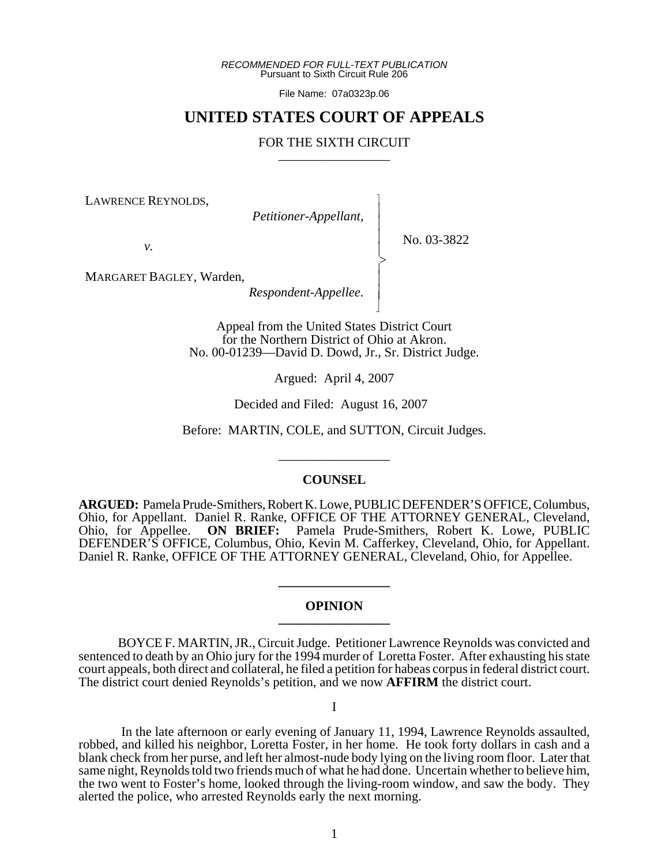*RECOMMENDED FOR FULL-TEXT PUBLICATION* Pursuant to Sixth Circuit Rule 206

File Name: 07a0323p.06

# **UNITED STATES COURT OF APPEALS**

# FOR THE SIXTH CIRCUIT

 $\overline{\phantom{a}}$ - - - -  $\succ$ |<br>|<br>| - - N

LAWRENCE REYNOLDS,

*Petitioner-Appellant,*

No. 03-3822

*v.*

MARGARET BAGLEY, Warden,

*Respondent-Appellee.*

Appeal from the United States District Court for the Northern District of Ohio at Akron. No. 00-01239—David D. Dowd, Jr., Sr. District Judge.

Argued: April 4, 2007

Decided and Filed: August 16, 2007

Before: MARTIN, COLE, and SUTTON, Circuit Judges.

\_\_\_\_\_\_\_\_\_\_\_\_\_\_\_\_\_

### **COUNSEL**

**ARGUED:** Pamela Prude-Smithers, Robert K. Lowe, PUBLIC DEFENDER'S OFFICE, Columbus, Ohio, for Appellant. Daniel R. Ranke, OFFICE OF THE ATTORNEY GENERAL, Cleveland, Ohio, for Appellee. **ON BRIEF:** Pamela Prude-Smithers, Robert K. Lowe, PUBLIC DEFENDER'S OFFICE, Columbus, Ohio, Kevin M. Cafferkey, Cleveland, Ohio, for Appellant. Daniel R. Ranke, OFFICE OF THE ATTORNEY GENERAL, Cleveland, Ohio, for Appellee.

# **OPINION \_\_\_\_\_\_\_\_\_\_\_\_\_\_\_\_\_**

**\_\_\_\_\_\_\_\_\_\_\_\_\_\_\_\_\_**

BOYCE F. MARTIN, JR., Circuit Judge. Petitioner Lawrence Reynolds was convicted and sentenced to death by an Ohio jury for the 1994 murder of Loretta Foster. After exhausting his state court appeals, both direct and collateral, he filed a petition for habeas corpus in federal district court. The district court denied Reynolds's petition, and we now **AFFIRM** the district court.

I

 In the late afternoon or early evening of January 11, 1994, Lawrence Reynolds assaulted, robbed, and killed his neighbor, Loretta Foster, in her home. He took forty dollars in cash and a blank check from her purse, and left her almost-nude body lying on the living room floor. Later that same night, Reynolds told two friends much of what he had done. Uncertain whether to believe him, the two went to Foster's home, looked through the living-room window, and saw the body. They alerted the police, who arrested Reynolds early the next morning.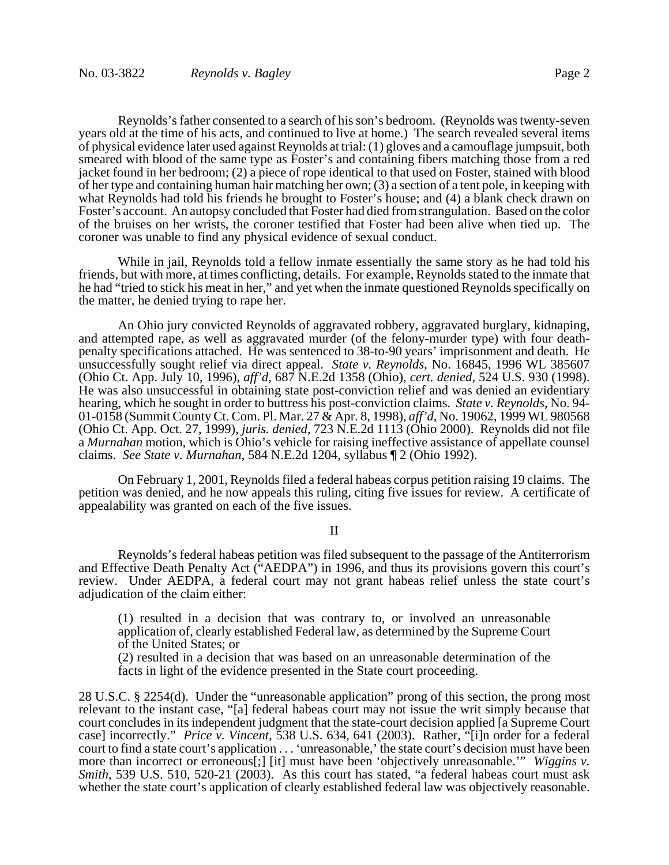Reynolds's father consented to a search of his son's bedroom. (Reynolds was twenty-seven years old at the time of his acts, and continued to live at home.) The search revealed several items of physical evidence later used against Reynolds at trial: (1) gloves and a camouflage jumpsuit, both smeared with blood of the same type as Foster's and containing fibers matching those from a red jacket found in her bedroom; (2) a piece of rope identical to that used on Foster, stained with blood of her type and containing human hair matching her own; (3) a section of a tent pole, in keeping with what Reynolds had told his friends he brought to Foster's house; and (4) a blank check drawn on Foster's account. An autopsy concluded that Foster had died from strangulation. Based on the color of the bruises on her wrists, the coroner testified that Foster had been alive when tied up. The coroner was unable to find any physical evidence of sexual conduct.

While in jail, Reynolds told a fellow inmate essentially the same story as he had told his friends, but with more, at times conflicting, details. For example, Reynolds stated to the inmate that he had "tried to stick his meat in her," and yet when the inmate questioned Reynolds specifically on the matter, he denied trying to rape her.

An Ohio jury convicted Reynolds of aggravated robbery, aggravated burglary, kidnaping, and attempted rape, as well as aggravated murder (of the felony-murder type) with four deathpenalty specifications attached. He was sentenced to 38-to-90 years' imprisonment and death. He unsuccessfully sought relief via direct appeal. *State v. Reynolds*, No. 16845, 1996 WL 385607 (Ohio Ct. App. July 10, 1996), *aff'd*, 687 N.E.2d 1358 (Ohio), *cert. denied*, 524 U.S. 930 (1998). He was also unsuccessful in obtaining state post-conviction relief and was denied an evidentiary hearing, which he sought in order to buttress his post-conviction claims. *State v. Reynolds*, No. 94- 01-0158 (Summit County Ct. Com. Pl. Mar. 27 & Apr. 8, 1998), *aff'd*, No. 19062, 1999 WL 980568 (Ohio Ct. App. Oct. 27, 1999), *juris. denied*, 723 N.E.2d 1113 (Ohio 2000). Reynolds did not file a *Murnahan* motion, which is Ohio's vehicle for raising ineffective assistance of appellate counsel claims. *See State v. Murnahan*, 584 N.E.2d 1204, syllabus ¶ 2 (Ohio 1992).

On February 1, 2001, Reynolds filed a federal habeas corpus petition raising 19 claims. The petition was denied, and he now appeals this ruling, citing five issues for review. A certificate of appealability was granted on each of the five issues.

II

Reynolds's federal habeas petition was filed subsequent to the passage of the Antiterrorism and Effective Death Penalty Act ("AEDPA") in 1996, and thus its provisions govern this court's review. Under AEDPA, a federal court may not grant habeas relief unless the state court's adjudication of the claim either:

(1) resulted in a decision that was contrary to, or involved an unreasonable application of, clearly established Federal law, as determined by the Supreme Court of the United States; or

(2) resulted in a decision that was based on an unreasonable determination of the facts in light of the evidence presented in the State court proceeding.

28 U.S.C. § 2254(d). Under the "unreasonable application" prong of this section, the prong most relevant to the instant case, "[a] federal habeas court may not issue the writ simply because that court concludes in its independent judgment that the state-court decision applied [a Supreme Court case] incorrectly." *Price v. Vincent*, 538 U.S. 634, 641 (2003). Rather, "[i]n order for a federal court to find a state court's application . . . 'unreasonable,' the state court's decision must have been more than incorrect or erroneous[;] [it] must have been 'objectively unreasonable.'" *Wiggins v. Smith*, 539 U.S. 510, 520-21 (2003). As this court has stated, "a federal habeas court must ask whether the state court's application of clearly established federal law was objectively reasonable.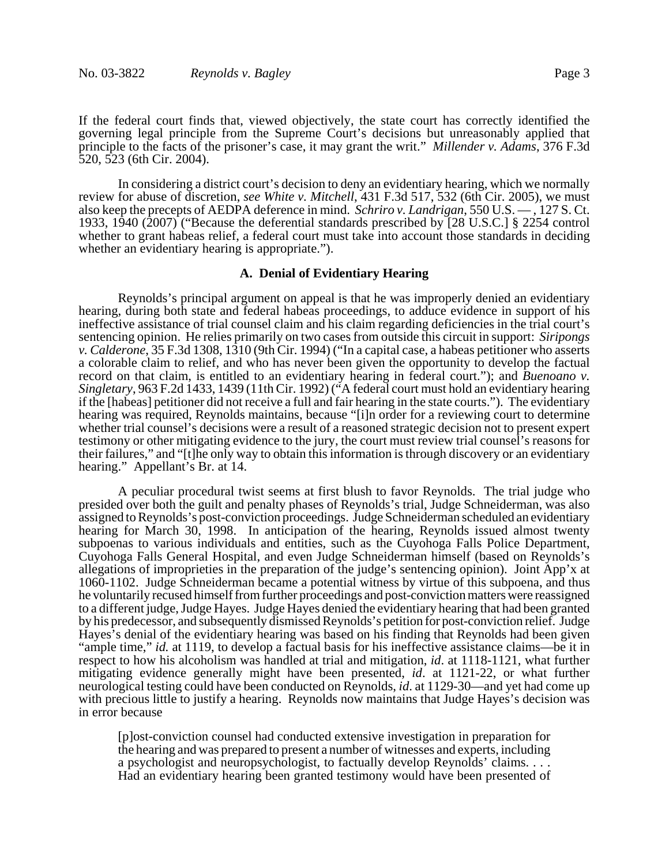If the federal court finds that, viewed objectively, the state court has correctly identified the governing legal principle from the Supreme Court's decisions but unreasonably applied that principle to the facts of the prisoner's case, it may grant the writ." *Millender v. Adams*, 376 F.3d 520, 523 (6th Cir. 2004).

In considering a district court's decision to deny an evidentiary hearing, which we normally review for abuse of discretion, *see White v. Mitchell*, 431 F.3d 517, 532 (6th Cir. 2005), we must also keep the precepts of AEDPA deference in mind. *Schriro v. Landrigan*, 550 U.S. — , 127 S. Ct. 1933, 1940 (2007) ("Because the deferential standards prescribed by [28 U.S.C.] § 2254 control whether to grant habeas relief, a federal court must take into account those standards in deciding whether an evidentiary hearing is appropriate.").

#### **A. Denial of Evidentiary Hearing**

Reynolds's principal argument on appeal is that he was improperly denied an evidentiary hearing, during both state and federal habeas proceedings, to adduce evidence in support of his ineffective assistance of trial counsel claim and his claim regarding deficiencies in the trial court's sentencing opinion. He relies primarily on two cases from outside this circuit in support: *Siripongs v. Calderone*, 35 F.3d 1308, 1310 (9th Cir. 1994) ("In a capital case, a habeas petitioner who asserts a colorable claim to relief, and who has never been given the opportunity to develop the factual record on that claim, is entitled to an evidentiary hearing in federal court."); and *Buenoano v. Singletary*, 963 F.2d 1433, 1439 (11th Cir. 1992) ("A federal court must hold an evidentiary hearing if the [habeas] petitioner did not receive a full and fair hearing in the state courts."). The evidentiary hearing was required, Reynolds maintains, because "[i]n order for a reviewing court to determine whether trial counsel's decisions were a result of a reasoned strategic decision not to present expert testimony or other mitigating evidence to the jury, the court must review trial counsel's reasons for their failures," and "[t]he only way to obtain this information is through discovery or an evidentiary hearing." Appellant's Br. at 14.

A peculiar procedural twist seems at first blush to favor Reynolds. The trial judge who presided over both the guilt and penalty phases of Reynolds's trial, Judge Schneiderman, was also assigned to Reynolds's post-conviction proceedings. Judge Schneiderman scheduled an evidentiary hearing for March 30, 1998. In anticipation of the hearing, Reynolds issued almost twenty subpoenas to various individuals and entities, such as the Cuyohoga Falls Police Department, Cuyohoga Falls General Hospital, and even Judge Schneiderman himself (based on Reynolds's allegations of improprieties in the preparation of the judge's sentencing opinion). Joint App'x at 1060-1102. Judge Schneiderman became a potential witness by virtue of this subpoena, and thus he voluntarily recused himself from further proceedings and post-conviction matters were reassigned to a different judge, Judge Hayes. Judge Hayes denied the evidentiary hearing that had been granted by his predecessor, and subsequently dismissed Reynolds's petition for post-conviction relief. Judge Hayes's denial of the evidentiary hearing was based on his finding that Reynolds had been given "ample time," *id.* at 1119, to develop a factual basis for his ineffective assistance claims—be it in respect to how his alcoholism was handled at trial and mitigation, *id*. at 1118-1121, what further mitigating evidence generally might have been presented, *id*. at 1121-22, or what further neurological testing could have been conducted on Reynolds, *id*. at 1129-30—and yet had come up with precious little to justify a hearing. Reynolds now maintains that Judge Hayes's decision was in error because

[p]ost-conviction counsel had conducted extensive investigation in preparation for the hearing and was prepared to present a number of witnesses and experts, including a psychologist and neuropsychologist, to factually develop Reynolds' claims. . . . Had an evidentiary hearing been granted testimony would have been presented of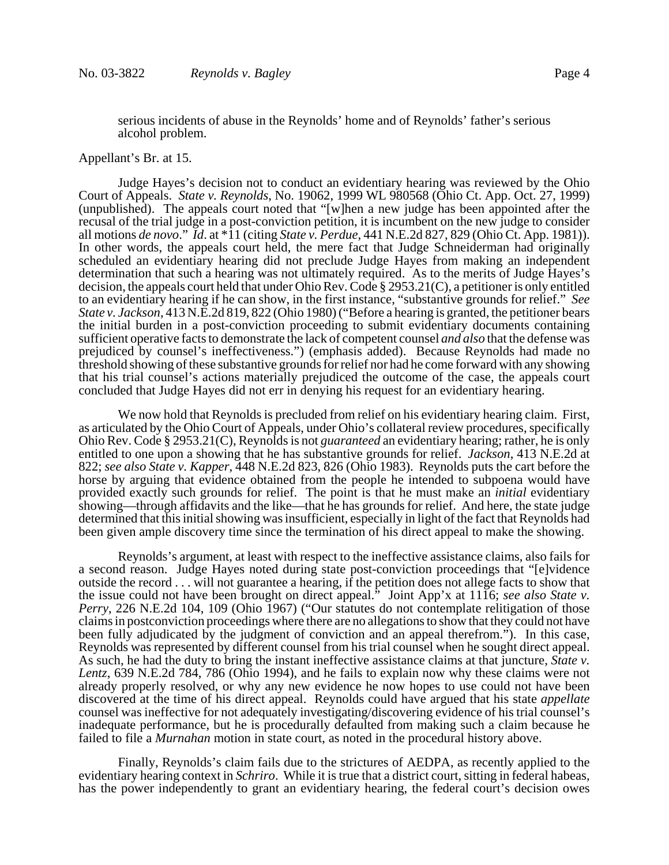serious incidents of abuse in the Reynolds' home and of Reynolds' father's serious alcohol problem.

#### Appellant's Br. at 15.

Judge Hayes's decision not to conduct an evidentiary hearing was reviewed by the Ohio Court of Appeals. *State v. Reynolds*, No. 19062, 1999 WL 980568 (Ohio Ct. App. Oct. 27, 1999) (unpublished). The appeals court noted that "[w]hen a new judge has been appointed after the recusal of the trial judge in a post-conviction petition, it is incumbent on the new judge to consider all motions *de novo*." *Id*. at \*11 (citing *State v. Perdue*, 441 N.E.2d 827, 829 (Ohio Ct. App. 1981)). In other words, the appeals court held, the mere fact that Judge Schneiderman had originally scheduled an evidentiary hearing did not preclude Judge Hayes from making an independent determination that such a hearing was not ultimately required. As to the merits of Judge Hayes's decision, the appeals court held that under Ohio Rev. Code § 2953.21(C), a petitioner is only entitled to an evidentiary hearing if he can show, in the first instance, "substantive grounds for relief." *See State v. Jackson*, 413 N.E.2d 819, 822 (Ohio 1980) ("Before a hearing is granted, the petitioner bears the initial burden in a post-conviction proceeding to submit evidentiary documents containing sufficient operative facts to demonstrate the lack of competent counsel *and also* that the defense was prejudiced by counsel's ineffectiveness.") (emphasis added). Because Reynolds had made no threshold showing of these substantive grounds for relief nor had he come forward with any showing that his trial counsel's actions materially prejudiced the outcome of the case, the appeals court concluded that Judge Hayes did not err in denying his request for an evidentiary hearing.

We now hold that Reynolds is precluded from relief on his evidentiary hearing claim. First, as articulated by the Ohio Court of Appeals, under Ohio's collateral review procedures, specifically Ohio Rev. Code § 2953.21(C), Reynolds is not *guaranteed* an evidentiary hearing; rather, he is only entitled to one upon a showing that he has substantive grounds for relief. *Jackson*, 413 N.E.2d at 822; *see also State v. Kapper*, 448 N.E.2d 823, 826 (Ohio 1983). Reynolds puts the cart before the horse by arguing that evidence obtained from the people he intended to subpoena would have provided exactly such grounds for relief. The point is that he must make an *initial* evidentiary showing—through affidavits and the like—that he has grounds for relief. And here, the state judge determined that this initial showing was insufficient, especially in light of the fact that Reynolds had been given ample discovery time since the termination of his direct appeal to make the showing.

Reynolds's argument, at least with respect to the ineffective assistance claims, also fails for a second reason. Judge Hayes noted during state post-conviction proceedings that "[e]vidence outside the record . . . will not guarantee a hearing, if the petition does not allege facts to show that the issue could not have been brought on direct appeal." Joint App'x at 1116; *see also State v. Perry*, 226 N.E.2d 104, 109 (Ohio 1967) ("Our statutes do not contemplate relitigation of those claims in postconviction proceedings where there are no allegations to show that they could not have been fully adjudicated by the judgment of conviction and an appeal therefrom."). In this case, Reynolds was represented by different counsel from his trial counsel when he sought direct appeal. As such, he had the duty to bring the instant ineffective assistance claims at that juncture, *State v. Lentz*, 639 N.E.2d 784, 786 (Ohio 1994), and he fails to explain now why these claims were not already properly resolved, or why any new evidence he now hopes to use could not have been discovered at the time of his direct appeal. Reynolds could have argued that his state *appellate* counsel was ineffective for not adequately investigating/discovering evidence of his trial counsel's inadequate performance, but he is procedurally defaulted from making such a claim because he failed to file a *Murnahan* motion in state court, as noted in the procedural history above.

Finally, Reynolds's claim fails due to the strictures of AEDPA, as recently applied to the evidentiary hearing context in *Schriro*. While it is true that a district court, sitting in federal habeas, has the power independently to grant an evidentiary hearing, the federal court's decision owes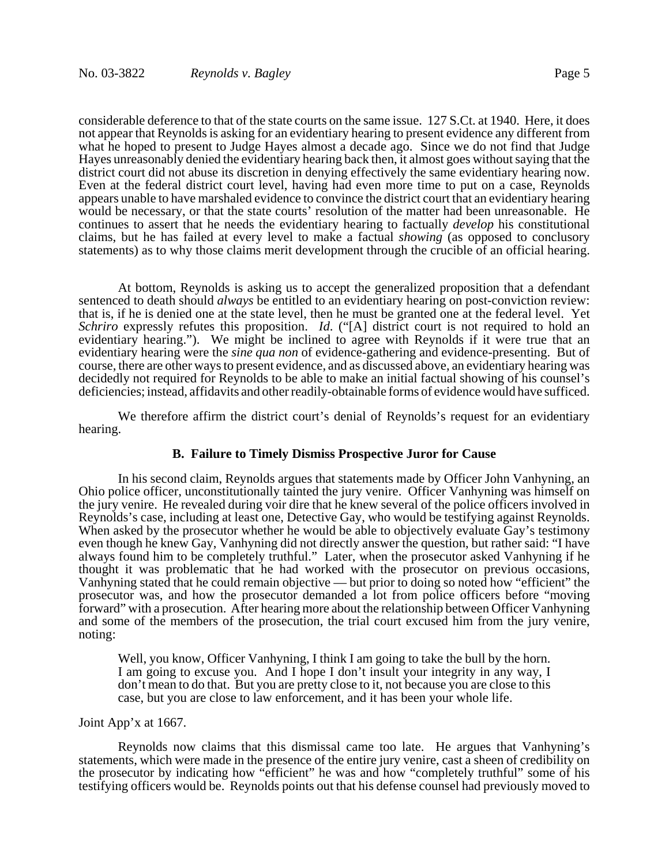considerable deference to that of the state courts on the same issue. 127 S.Ct. at 1940. Here, it does not appear that Reynolds is asking for an evidentiary hearing to present evidence any different from what he hoped to present to Judge Hayes almost a decade ago. Since we do not find that Judge Hayes unreasonably denied the evidentiary hearing back then, it almost goes without saying that the district court did not abuse its discretion in denying effectively the same evidentiary hearing now. Even at the federal district court level, having had even more time to put on a case, Reynolds appears unable to have marshaled evidence to convince the district court that an evidentiary hearing would be necessary, or that the state courts' resolution of the matter had been unreasonable. He continues to assert that he needs the evidentiary hearing to factually *develop* his constitutional claims, but he has failed at every level to make a factual *showing* (as opposed to conclusory statements) as to why those claims merit development through the crucible of an official hearing.

At bottom, Reynolds is asking us to accept the generalized proposition that a defendant sentenced to death should *always* be entitled to an evidentiary hearing on post-conviction review: that is, if he is denied one at the state level, then he must be granted one at the federal level. Yet *Schriro* expressly refutes this proposition. *Id*. ("[A] district court is not required to hold an evidentiary hearing."). We might be inclined to agree with Reynolds if it were true that an evidentiary hearing were the *sine qua non* of evidence-gathering and evidence-presenting. But of course, there are other ways to present evidence, and as discussed above, an evidentiary hearing was decidedly not required for Reynolds to be able to make an initial factual showing of his counsel's deficiencies; instead, affidavits and other readily-obtainable forms of evidence would have sufficed.

We therefore affirm the district court's denial of Reynolds's request for an evidentiary hearing.

# **B. Failure to Timely Dismiss Prospective Juror for Cause**

In his second claim, Reynolds argues that statements made by Officer John Vanhyning, an Ohio police officer, unconstitutionally tainted the jury venire. Officer Vanhyning was himself on the jury venire. He revealed during voir dire that he knew several of the police officers involved in Reynolds's case, including at least one, Detective Gay, who would be testifying against Reynolds. When asked by the prosecutor whether he would be able to objectively evaluate Gay's testimony even though he knew Gay, Vanhyning did not directly answer the question, but rather said: "I have always found him to be completely truthful." Later, when the prosecutor asked Vanhyning if he thought it was problematic that he had worked with the prosecutor on previous occasions, Vanhyning stated that he could remain objective — but prior to doing so noted how "efficient" the prosecutor was, and how the prosecutor demanded a lot from police officers before "moving forward" with a prosecution. After hearing more about the relationship between Officer Vanhyning and some of the members of the prosecution, the trial court excused him from the jury venire, noting:

Well, you know, Officer Vanhyning, I think I am going to take the bull by the horn. I am going to excuse you. And I hope I don't insult your integrity in any way, I don't mean to do that. But you are pretty close to it, not because you are close to this case, but you are close to law enforcement, and it has been your whole life.

### Joint App'x at 1667.

Reynolds now claims that this dismissal came too late. He argues that Vanhyning's statements, which were made in the presence of the entire jury venire, cast a sheen of credibility on the prosecutor by indicating how "efficient" he was and how "completely truthful" some of his testifying officers would be. Reynolds points out that his defense counsel had previously moved to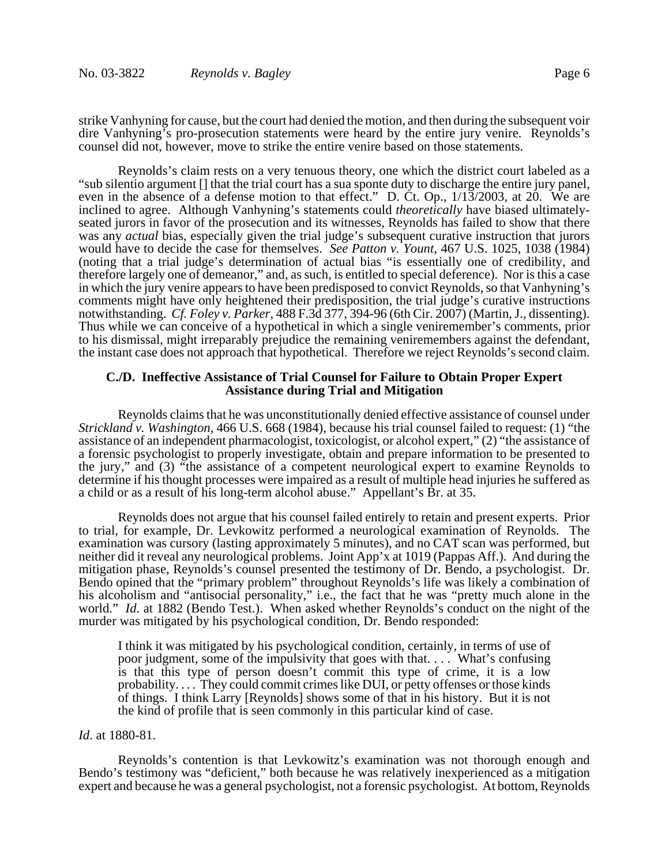strike Vanhyning for cause, but the court had denied the motion, and then during the subsequent voir dire Vanhyning's pro-prosecution statements were heard by the entire jury venire. Reynolds's counsel did not, however, move to strike the entire venire based on those statements.

Reynolds's claim rests on a very tenuous theory, one which the district court labeled as a "sub silentio argument [] that the trial court has a sua sponte duty to discharge the entire jury panel, even in the absence of a defense motion to that effect." D. Ct. Op.,  $1/13/2003$ , at 20. We are inclined to agree. Although Vanhyning's statements could *theoretically* have biased ultimatelyseated jurors in favor of the prosecution and its witnesses, Reynolds has failed to show that there was any *actual* bias, especially given the trial judge's subsequent curative instruction that jurors would have to decide the case for themselves. *See Patton v. Yount*, 467 U.S. 1025, 1038 (1984) (noting that a trial judge's determination of actual bias "is essentially one of credibility, and therefore largely one of demeanor," and, as such, is entitled to special deference). Nor is this a case in which the jury venire appears to have been predisposed to convict Reynolds, so that Vanhyning's comments might have only heightened their predisposition, the trial judge's curative instructions notwithstanding. *Cf. Foley v. Parker*, 488 F.3d 377, 394-96 (6th Cir. 2007) (Martin, J., dissenting). Thus while we can conceive of a hypothetical in which a single veniremember's comments, prior to his dismissal, might irreparably prejudice the remaining veniremembers against the defendant, the instant case does not approach that hypothetical. Therefore we reject Reynolds's second claim.

# **C./D. Ineffective Assistance of Trial Counsel for Failure to Obtain Proper Expert Assistance during Trial and Mitigation**

Reynolds claims that he was unconstitutionally denied effective assistance of counsel under *Strickland v. Washington*, 466 U.S. 668 (1984), because his trial counsel failed to request: (1) "the assistance of an independent pharmacologist, toxicologist, or alcohol expert," (2) "the assistance of a forensic psychologist to properly investigate, obtain and prepare information to be presented to the jury," and (3) "the assistance of a competent neurological expert to examine Reynolds to determine if his thought processes were impaired as a result of multiple head injuries he suffered as a child or as a result of his long-term alcohol abuse." Appellant's Br. at 35.

Reynolds does not argue that his counsel failed entirely to retain and present experts. Prior to trial, for example, Dr. Levkowitz performed a neurological examination of Reynolds. The examination was cursory (lasting approximately 5 minutes), and no CAT scan was performed, but neither did it reveal any neurological problems. Joint App'x at 1019 (Pappas Aff.). And during the mitigation phase, Reynolds's counsel presented the testimony of Dr. Bendo, a psychologist. Dr. Bendo opined that the "primary problem" throughout Reynolds's life was likely a combination of his alcoholism and "antisocial personality," i.e., the fact that he was "pretty much alone in the world." *Id*. at 1882 (Bendo Test.). When asked whether Reynolds's conduct on the night of the murder was mitigated by his psychological condition, Dr. Bendo responded:

I think it was mitigated by his psychological condition, certainly, in terms of use of poor judgment, some of the impulsivity that goes with that. . . . What's confusing is that this type of person doesn't commit this type of crime, it is a low probability. . . . They could commit crimes like DUI, or petty offenses or those kinds of things. I think Larry [Reynolds] shows some of that in his history. But it is not the kind of profile that is seen commonly in this particular kind of case.

#### *Id*. at 1880-81.

Reynolds's contention is that Levkowitz's examination was not thorough enough and Bendo's testimony was "deficient," both because he was relatively inexperienced as a mitigation expert and because he was a general psychologist, not a forensic psychologist. At bottom, Reynolds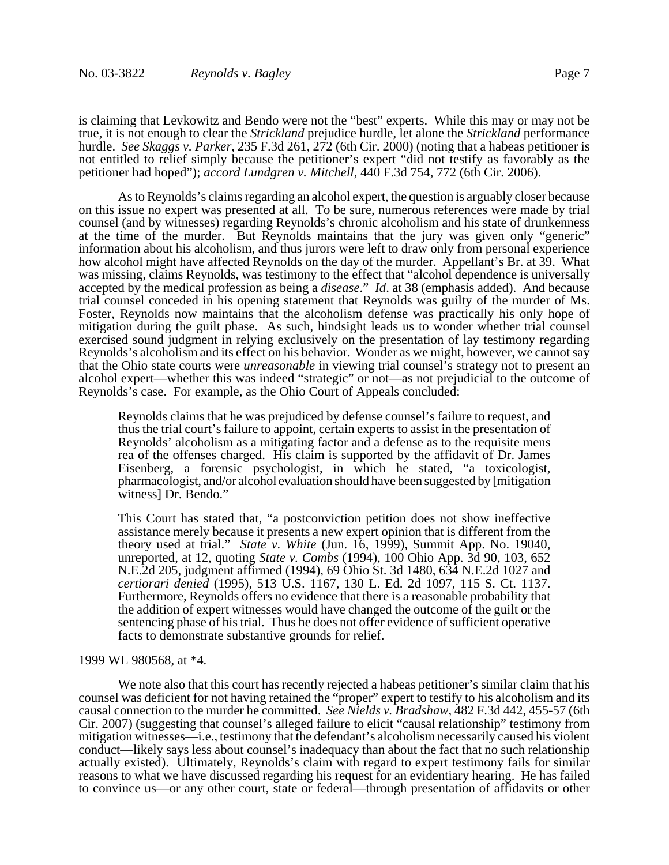is claiming that Levkowitz and Bendo were not the "best" experts. While this may or may not be true, it is not enough to clear the *Strickland* prejudice hurdle, let alone the *Strickland* performance hurdle. *See Skaggs v. Parker*, 235 F.3d 261, 272 (6th Cir. 2000) (noting that a habeas petitioner is not entitled to relief simply because the petitioner's expert "did not testify as favorably as the petitioner had hoped"); *accord Lundgren v. Mitchell*, 440 F.3d 754, 772 (6th Cir. 2006).

As to Reynolds's claims regarding an alcohol expert, the question is arguably closer because on this issue no expert was presented at all. To be sure, numerous references were made by trial counsel (and by witnesses) regarding Reynolds's chronic alcoholism and his state of drunkenness at the time of the murder. But Reynolds maintains that the jury was given only "generic" information about his alcoholism, and thus jurors were left to draw only from personal experience how alcohol might have affected Reynolds on the day of the murder. Appellant's Br. at 39. What was missing, claims Reynolds, was testimony to the effect that "alcohol dependence is universally accepted by the medical profession as being a *disease*." *Id*. at 38 (emphasis added). And because trial counsel conceded in his opening statement that Reynolds was guilty of the murder of Ms. Foster, Reynolds now maintains that the alcoholism defense was practically his only hope of mitigation during the guilt phase. As such, hindsight leads us to wonder whether trial counsel exercised sound judgment in relying exclusively on the presentation of lay testimony regarding Reynolds's alcoholism and its effect on his behavior. Wonder as we might, however, we cannot say that the Ohio state courts were *unreasonable* in viewing trial counsel's strategy not to present an alcohol expert—whether this was indeed "strategic" or not—as not prejudicial to the outcome of Reynolds's case. For example, as the Ohio Court of Appeals concluded:

Reynolds claims that he was prejudiced by defense counsel's failure to request, and thus the trial court's failure to appoint, certain experts to assist in the presentation of Reynolds' alcoholism as a mitigating factor and a defense as to the requisite mens rea of the offenses charged. His claim is supported by the affidavit of Dr. James Eisenberg, a forensic psychologist, in which he stated, "a toxicologist, pharmacologist, and/or alcohol evaluation should have been suggested by [mitigation witness] Dr. Bendo."

This Court has stated that, "a postconviction petition does not show ineffective assistance merely because it presents a new expert opinion that is different from the theory used at trial." *State v. White* (Jun. 16, 1999), Summit App. No. 19040, unreported, at 12, quoting *State v. Combs* (1994), 100 Ohio App. 3d 90, 103, 652 N.E.2d 205, judgment affirmed (1994), 69 Ohio St. 3d 1480, 634 N.E.2d 1027 and *certiorari denied* (1995), 513 U.S. 1167, 130 L. Ed. 2d 1097, 115 S. Ct. 1137. Furthermore, Reynolds offers no evidence that there is a reasonable probability that the addition of expert witnesses would have changed the outcome of the guilt or the sentencing phase of his trial. Thus he does not offer evidence of sufficient operative facts to demonstrate substantive grounds for relief.

#### 1999 WL 980568, at \*4.

We note also that this court has recently rejected a habeas petitioner's similar claim that his counsel was deficient for not having retained the "proper" expert to testify to his alcoholism and its causal connection to the murder he committed. *See Nields v. Bradshaw*, 482 F.3d 442, 455-57 (6th Cir. 2007) (suggesting that counsel's alleged failure to elicit "causal relationship" testimony from mitigation witnesses—i.e., testimony that the defendant's alcoholism necessarily caused his violent conduct—likely says less about counsel's inadequacy than about the fact that no such relationship actually existed). Ultimately, Reynolds's claim with regard to expert testimony fails for similar reasons to what we have discussed regarding his request for an evidentiary hearing. He has failed to convince us—or any other court, state or federal—through presentation of affidavits or other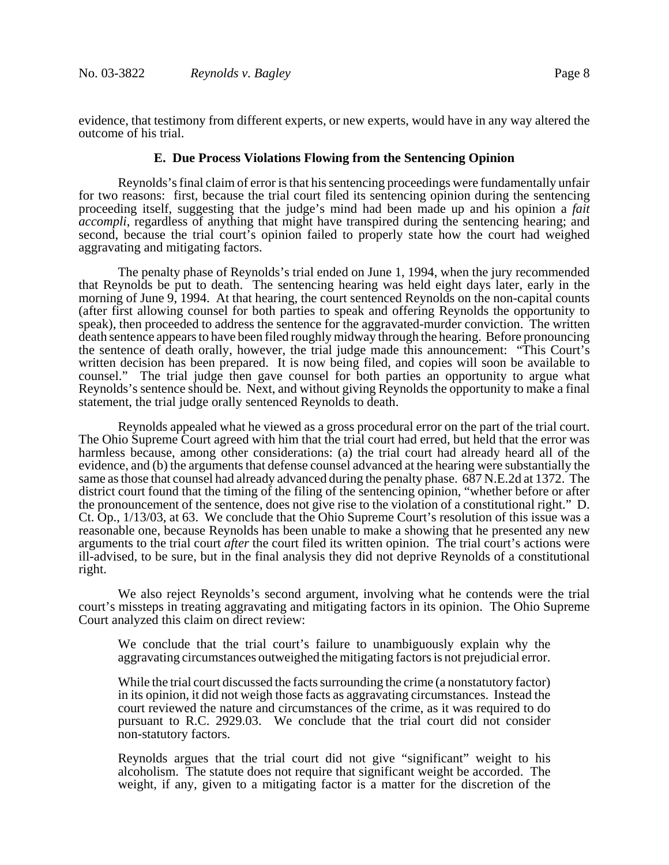evidence, that testimony from different experts, or new experts, would have in any way altered the outcome of his trial.

# **E. Due Process Violations Flowing from the Sentencing Opinion**

Reynolds's final claim of error is that his sentencing proceedings were fundamentally unfair for two reasons: first, because the trial court filed its sentencing opinion during the sentencing proceeding itself, suggesting that the judge's mind had been made up and his opinion a *fait accompli*, regardless of anything that might have transpired during the sentencing hearing; and second, because the trial court's opinion failed to properly state how the court had weighed aggravating and mitigating factors.

The penalty phase of Reynolds's trial ended on June 1, 1994, when the jury recommended that Reynolds be put to death. The sentencing hearing was held eight days later, early in the morning of June 9, 1994. At that hearing, the court sentenced Reynolds on the non-capital counts (after first allowing counsel for both parties to speak and offering Reynolds the opportunity to speak), then proceeded to address the sentence for the aggravated-murder conviction. The written death sentence appears to have been filed roughly midway through the hearing. Before pronouncing the sentence of death orally, however, the trial judge made this announcement: "This Court's written decision has been prepared. It is now being filed, and copies will soon be available to counsel." The trial judge then gave counsel for both parties an opportunity to argue what Reynolds's sentence should be. Next, and without giving Reynolds the opportunity to make a final statement, the trial judge orally sentenced Reynolds to death.

Reynolds appealed what he viewed as a gross procedural error on the part of the trial court. The Ohio Supreme Court agreed with him that the trial court had erred, but held that the error was harmless because, among other considerations: (a) the trial court had already heard all of the evidence, and (b) the arguments that defense counsel advanced at the hearing were substantially the same as those that counsel had already advanced during the penalty phase. 687 N.E.2d at 1372. The district court found that the timing of the filing of the sentencing opinion, "whether before or after the pronouncement of the sentence, does not give rise to the violation of a constitutional right." D. Ct. Op., 1/13/03, at 63. We conclude that the Ohio Supreme Court's resolution of this issue was a reasonable one, because Reynolds has been unable to make a showing that he presented any new arguments to the trial court *after* the court filed its written opinion. The trial court's actions were ill-advised, to be sure, but in the final analysis they did not deprive Reynolds of a constitutional right.

We also reject Reynolds's second argument, involving what he contends were the trial court's missteps in treating aggravating and mitigating factors in its opinion. The Ohio Supreme Court analyzed this claim on direct review:

We conclude that the trial court's failure to unambiguously explain why the aggravating circumstances outweighed the mitigating factors is not prejudicial error.

While the trial court discussed the facts surrounding the crime (a nonstatutory factor) in its opinion, it did not weigh those facts as aggravating circumstances. Instead the court reviewed the nature and circumstances of the crime, as it was required to do pursuant to R.C. 2929.03. We conclude that the trial court did not consider non-statutory factors.

Reynolds argues that the trial court did not give "significant" weight to his alcoholism. The statute does not require that significant weight be accorded. The weight, if any, given to a mitigating factor is a matter for the discretion of the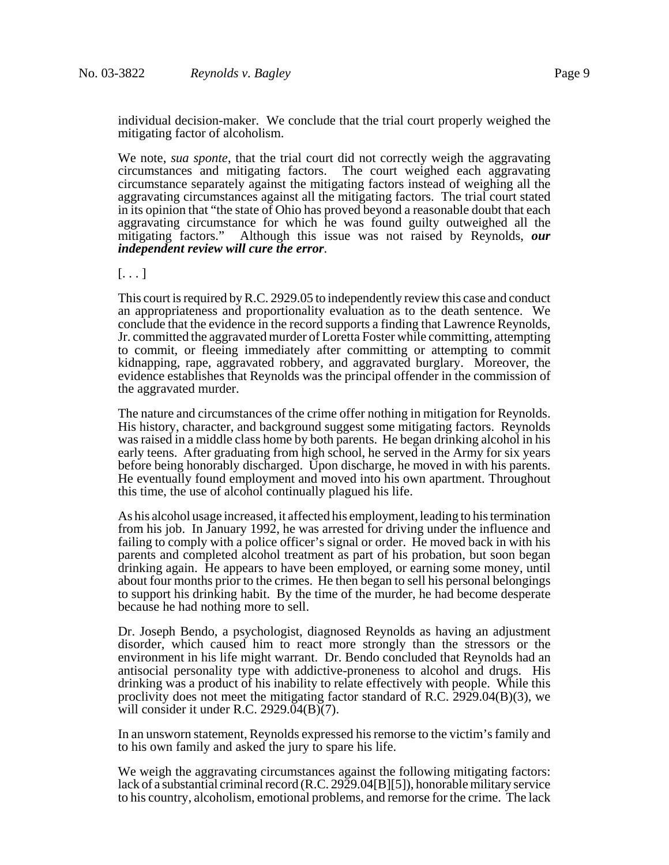individual decision-maker. We conclude that the trial court properly weighed the mitigating factor of alcoholism.

We note, *sua sponte*, that the trial court did not correctly weigh the aggravating circumstances and mitigating factors. The court weighed each aggravating circumstance separately against the mitigating factors instead of weighing all the aggravating circumstances against all the mitigating factors. The trial court stated in its opinion that "the state of Ohio has proved beyond a reasonable doubt that each aggravating circumstance for which he was found guilty outweighed all the mitigating factors." Although this issue was not raised by Reynolds, *our independent review will cure the error*.

 $[\ldots]$ 

This court is required by R.C. 2929.05 to independently review this case and conduct an appropriateness and proportionality evaluation as to the death sentence. We conclude that the evidence in the record supports a finding that Lawrence Reynolds, Jr. committed the aggravated murder of Loretta Foster while committing, attempting to commit, or fleeing immediately after committing or attempting to commit kidnapping, rape, aggravated robbery, and aggravated burglary. Moreover, the evidence establishes that Reynolds was the principal offender in the commission of the aggravated murder.

The nature and circumstances of the crime offer nothing in mitigation for Reynolds. His history, character, and background suggest some mitigating factors. Reynolds was raised in a middle class home by both parents. He began drinking alcohol in his early teens. After graduating from high school, he served in the Army for six years before being honorably discharged. Upon discharge, he moved in with his parents. He eventually found employment and moved into his own apartment. Throughout this time, the use of alcohol continually plagued his life.

As his alcohol usage increased, it affected his employment, leading to his termination from his job. In January 1992, he was arrested for driving under the influence and failing to comply with a police officer's signal or order. He moved back in with his parents and completed alcohol treatment as part of his probation, but soon began drinking again. He appears to have been employed, or earning some money, until about four months prior to the crimes. He then began to sell his personal belongings to support his drinking habit. By the time of the murder, he had become desperate because he had nothing more to sell.

Dr. Joseph Bendo, a psychologist, diagnosed Reynolds as having an adjustment disorder, which caused him to react more strongly than the stressors or the environment in his life might warrant. Dr. Bendo concluded that Reynolds had an antisocial personality type with addictive-proneness to alcohol and drugs. His drinking was a product of his inability to relate effectively with people. While this proclivity does not meet the mitigating factor standard of R.C. 2929.04(B)(3), we will consider it under R.C. 2929.04(B)(7).

In an unsworn statement, Reynolds expressed his remorse to the victim's family and to his own family and asked the jury to spare his life.

We weigh the aggravating circumstances against the following mitigating factors: lack of a substantial criminal record (R.C. 2929.04[B][5]), honorable military service to his country, alcoholism, emotional problems, and remorse for the crime. The lack